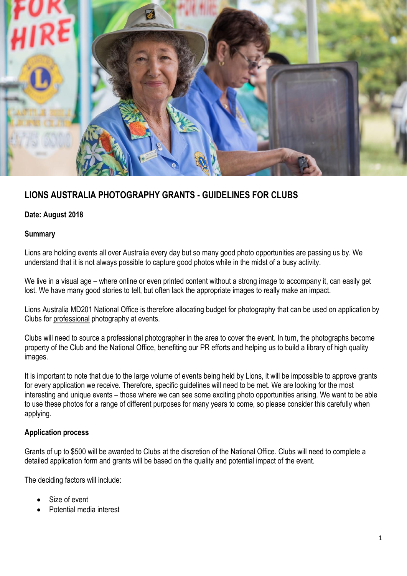

## **LIONS AUSTRALIA PHOTOGRAPHY GRANTS - GUIDELINES FOR CLUBS**

### **Date: August 2018**

#### **Summary**

Lions are holding events all over Australia every day but so many good photo opportunities are passing us by. We understand that it is not always possible to capture good photos while in the midst of a busy activity.

We live in a visual age – where online or even printed content without a strong image to accompany it, can easily get lost. We have many good stories to tell, but often lack the appropriate images to really make an impact.

Lions Australia MD201 National Office is therefore allocating budget for photography that can be used on application by Clubs for professional photography at events.

Clubs will need to source a professional photographer in the area to cover the event. In turn, the photographs become property of the Club and the National Office, benefiting our PR efforts and helping us to build a library of high quality images.

It is important to note that due to the large volume of events being held by Lions, it will be impossible to approve grants for every application we receive. Therefore, specific guidelines will need to be met. We are looking for the most interesting and unique events – those where we can see some exciting photo opportunities arising. We want to be able to use these photos for a range of different purposes for many years to come, so please consider this carefully when applying.

#### **Application process**

Grants of up to \$500 will be awarded to Clubs at the discretion of the National Office. Clubs will need to complete a detailed application form and grants will be based on the quality and potential impact of the event.

The deciding factors will include:

- Size of event
- Potential media interest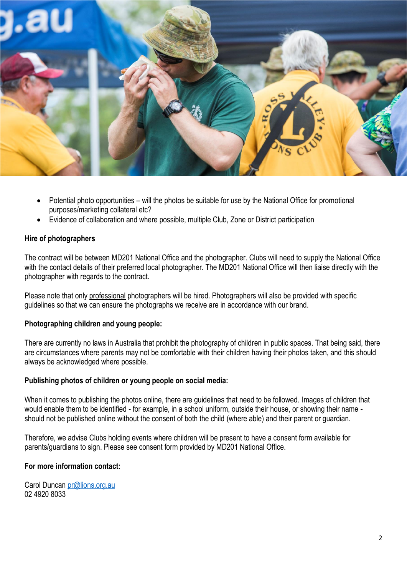

- Potential photo opportunities will the photos be suitable for use by the National Office for promotional purposes/marketing collateral etc?
- Evidence of collaboration and where possible, multiple Club, Zone or District participation

#### **Hire of photographers**

The contract will be between MD201 National Office and the photographer. Clubs will need to supply the National Office with the contact details of their preferred local photographer. The MD201 National Office will then liaise directly with the photographer with regards to the contract.

Please note that only professional photographers will be hired. Photographers will also be provided with specific guidelines so that we can ensure the photographs we receive are in accordance with our brand.

#### **Photographing children and young people:**

There are currently no laws in Australia that prohibit the photography of children in public spaces. That being said, there are circumstances where parents may not be comfortable with their children having their photos taken, and this should always be acknowledged where possible.

#### **Publishing photos of children or young people on social media:**

When it comes to publishing the photos online, there are guidelines that need to be followed. Images of children that would enable them to be identified - for example, in a school uniform, outside their house, or showing their name should not be published online without the consent of both the child (where able) and their parent or guardian.

Therefore, we advise Clubs holding events where children will be present to have a consent form available for parents/guardians to sign. Please see consent form provided by MD201 National Office.

#### **For more information contact:**

Carol Duncan [pr@lions.org.au](mailto:pr@lions.org.au) 02 4920 8033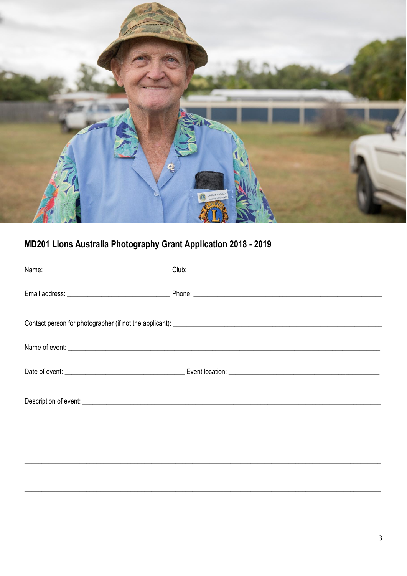

# MD201 Lions Australia Photography Grant Application 2018 - 2019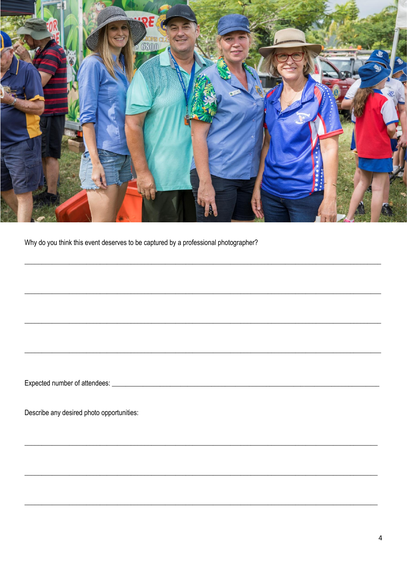

Why do you think this event deserves to be captured by a professional photographer?

Describe any desired photo opportunities: